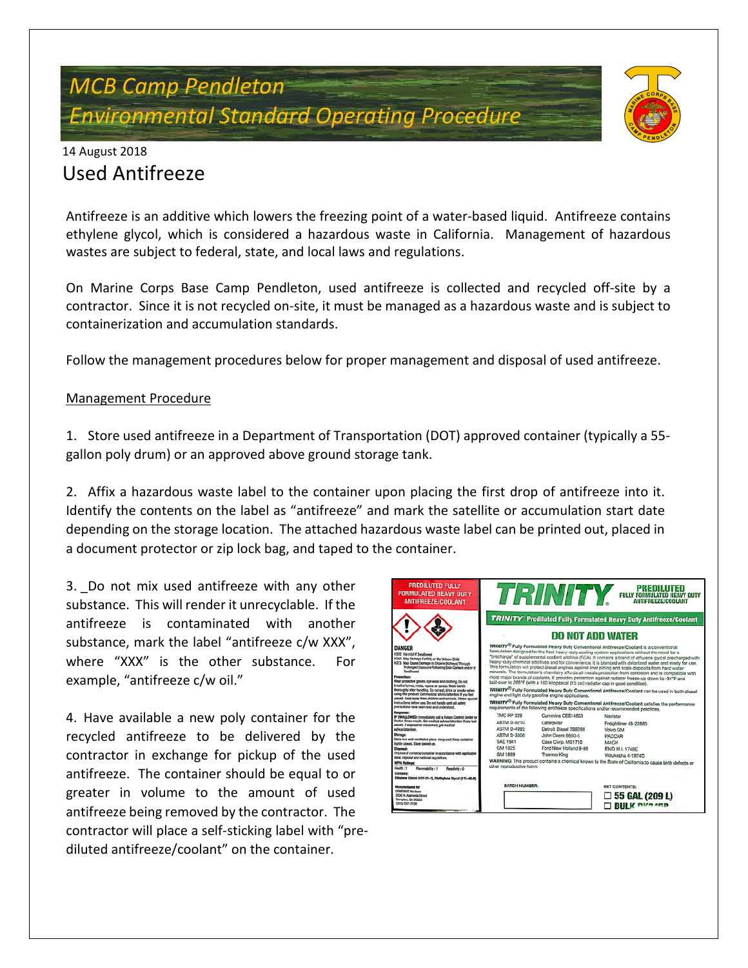# *MCB Camp Pendleton Environmental Standard Operating Procedure*



### 14 August 2018 Used Antifreeze

Antifreeze is an additive which lowers the freezing point of a water-based liquid. Antifreeze contains ethylene glycol, which is considered a hazardous waste in California. Management of hazardous wastes are subject to federal, state, and local laws and regulations.

On Marine Corps Base Camp Pendleton, used antifreeze is collected and recycled off-site by a contractor. Since it is not recycled on-site, it must be managed as a hazardous waste and is subject to containerization and accumulation standards.

Follow the management procedures below for proper management and disposal of used antifreeze.

#### Management Procedure

1. Store used antifreeze in a Department of Transportation (DOT) approved container (typically a 55 gallon poly drum) or an approved above ground storage tank.

2. Affix a hazardous waste label to the container upon placing the first drop of antifreeze into it. Identify the contents on the label as "antifreeze" and mark the satellite or accumulation start date depending on the storage location. The attached hazardous waste label can be printed out, placed in a document protector or zip lock bag, and taped to the container.

3. Do not mix used antifreeze with any other substance. This will render it unrecyclable. If the antifreeze is contaminated with another substance, mark the label "antifreeze c/w XXX", where "XXX" is the other substance. For example, "antifreeze c/w oil."

4. Have available a new poly container for the recycled antifreeze to be delivered by the contractor in exchange for pickup of the used antifreeze. The container should be equal to or greater in volume to the amount of used antifreeze being removed by the contractor. The contractor will place a self-sticking label with "prediluted antifreeze/coolant" on the container.

| <b>PREDILUTED FULLY</b><br><b>FORMULATED HEAVY DUTY</b><br><b>ANTIFREEZE/COOLANT</b>                                                                                                                                                                                                               |                                                                                                                                                                                                                                                                                                                                                                                                                                                                                                                                                                                                                                                                                                                                                                                                                                         |                                                                 | TRINITY FULL PREDILUTED HELD HELD HELD HELD HELD HELD HELD           |  |
|----------------------------------------------------------------------------------------------------------------------------------------------------------------------------------------------------------------------------------------------------------------------------------------------------|-----------------------------------------------------------------------------------------------------------------------------------------------------------------------------------------------------------------------------------------------------------------------------------------------------------------------------------------------------------------------------------------------------------------------------------------------------------------------------------------------------------------------------------------------------------------------------------------------------------------------------------------------------------------------------------------------------------------------------------------------------------------------------------------------------------------------------------------|-----------------------------------------------------------------|----------------------------------------------------------------------|--|
|                                                                                                                                                                                                                                                                                                    | <b>TRINITY</b> Prediluted Fully Formulated Heavy Duty Antifreeze/Coolant                                                                                                                                                                                                                                                                                                                                                                                                                                                                                                                                                                                                                                                                                                                                                                |                                                                 |                                                                      |  |
|                                                                                                                                                                                                                                                                                                    | <b>DO NOT ADD WATER</b>                                                                                                                                                                                                                                                                                                                                                                                                                                                                                                                                                                                                                                                                                                                                                                                                                 |                                                                 |                                                                      |  |
| <b>DANGER</b><br>H302 Harmful if Swallowed<br>H360 May Damage Fertility or the Unborn Child<br>H373 May Cause Damage to Organs (Kidneys) Through<br>Saulowed<br>Prevention:<br>Wear protective gloves, eye wear and clothing. Do not<br>breathe fumes, mists, vapors or sprays. Wash hands         | TRINITY® Fully Formulated Heavy Duty Conventional Antifreeze/Coolant is a conventional<br>formulation designed for the fleet heavy-duty cooling system applications without the need for a<br>"precharge" of supplemental coolant additive (SCA). It contains a blend of ethylene glycol precharged with<br>heavy-duty chemical additives and for convenience, it is blended with delonized water and ready for use.<br>This formulation will protect diesel engines against liner pitting and scale deposits from hard water<br>minerals. The formulation's chemistry affords all metals protection from corrosion and is compatible with<br>most major brands of coolants. It provides protection against radiator freeze-up down to -34°F and<br>boil-over to 265°F (with a 100 kilopascal (15 psi) radiator cap in good condition). |                                                                 |                                                                      |  |
| thoroughly after handling. Do not eat, drink or smoke when<br>using this product. Cet medical advice/attention if you lee!<br>unwell. Keep away from children and animals. Obtain special<br>instructions before use. Do not handle until all safety<br>precautions have been read and understood. | TRINITY® Fully Formulated Heavy Duty Conventional Antifreeze/Coolant can be used in both diesel<br>engine and light duty gasoline engine applications.<br>TRINITY® Fully Formulated Heavy Duty Conventional Antifreeze/Coolant satisfies the performance<br>requirements of the following antifreeze specifications and/or recommended practices.                                                                                                                                                                                                                                                                                                                                                                                                                                                                                       |                                                                 |                                                                      |  |
| Researcer<br>IF SWALLOWED: Immediately call a Poison Control Center or<br>Doctor, Ringe mouth, Get medical advice/attention if you feel<br>unwell. If exposed or concerned, get medical<br>advice/attention.                                                                                       | <b>TMC RP 329</b><br><b>ASTM D-6210</b><br><b>ASTM D-4985</b>                                                                                                                                                                                                                                                                                                                                                                                                                                                                                                                                                                                                                                                                                                                                                                           | Cummins CES14603<br>Caterpillar<br>Detroit Diesel 7SE298        | Navistar<br>Freightliner 48-22880<br>Volvo GM                        |  |
| Storage:<br>Store in a well-ventilated place. Keep cool. Keep container<br>tightly closed. Store locked up.<br>Disnosal:<br>Dispose of contents/container in accordance with applicable                                                                                                            | <b>ASTM D-3306</b><br><b>SAE 1941</b><br>GM 1825                                                                                                                                                                                                                                                                                                                                                                                                                                                                                                                                                                                                                                                                                                                                                                                        | John Deere 8650-5<br>Case Corp. MS1710<br>Ford New Holland 9-86 | PACCAR<br><b>MACK</b><br><b>EMD M.I. 1748F</b>                       |  |
| local, regional and national regulations.<br><b>NFPA Ratings:</b><br>Health : 1<br><b>Rammability: 1</b><br>Reactivity: 0<br>Contains:<br>Ethylene Glycol (107-21-1), Diethylene Elycol (111-46-6)                                                                                                 | <b>GM 1899</b><br>Thermo-King<br>Waukesha 4-1974D<br>WARNING: This product contains a chemical known to the State of California to cause birth defects or<br>other reproductive harm.                                                                                                                                                                                                                                                                                                                                                                                                                                                                                                                                                                                                                                                   |                                                                 |                                                                      |  |
| Manufactured for<br>DEMENNO Kerdoon<br>2000 N. Alameda Street<br>Compton, CA 90222<br>(310) 537-7100                                                                                                                                                                                               | <b>BATCH NUMBER:</b>                                                                                                                                                                                                                                                                                                                                                                                                                                                                                                                                                                                                                                                                                                                                                                                                                    |                                                                 | <b>NET CONTENTS:</b><br>$\Box$ 55 GAL (209 L)<br><b>BULK DIO 450</b> |  |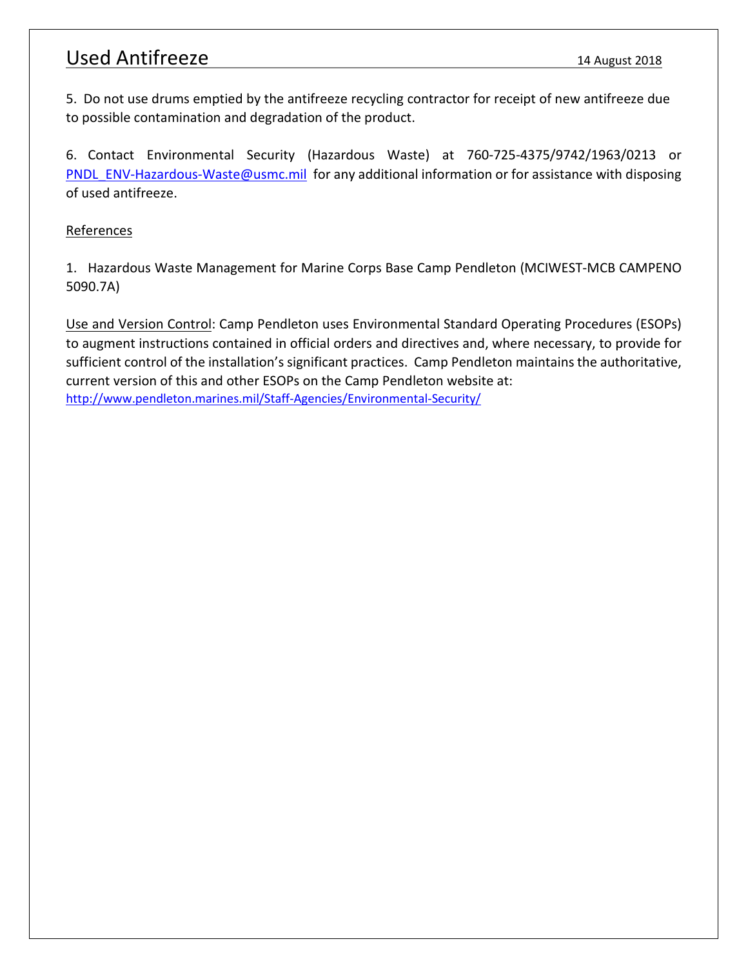### Used Antifreeze 14 August 2018

5. Do not use drums emptied by the antifreeze recycling contractor for receipt of new antifreeze due to possible contamination and degradation of the product.

6. Contact Environmental Security (Hazardous Waste) at 760-725-4375/9742/1963/0213 or PNDL ENV-Hazardous-Waste@usmc.mil for any additional information or for assistance with disposing of used antifreeze.

#### References

1. Hazardous Waste Management for Marine Corps Base Camp Pendleton (MCIWEST-MCB CAMPENO 5090.7A)

Use and Version Control: Camp Pendleton uses Environmental Standard Operating Procedures (ESOPs) to augment instructions contained in official orders and directives and, where necessary, to provide for sufficient control of the installation's significant practices. Camp Pendleton maintains the authoritative, current version of this and other ESOPs on the Camp Pendleton website at: <http://www.pendleton.marines.mil/Staff-Agencies/Environmental-Security/>